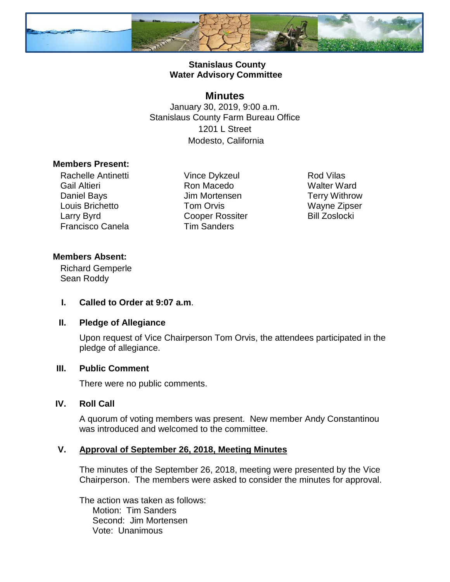

# **Stanislaus County Water Advisory Committee**

# **Minutes**

January 30, 2019, 9:00 a.m. Stanislaus County Farm Bureau Office 1201 L Street Modesto, California

#### **Members Present:**

Rachelle Antinetti Gail Altieri Daniel Bays Louis Brichetto Larry Byrd Francisco Canela

Vince Dykzeul Ron Macedo Jim Mortensen Tom Orvis Cooper Rossiter Tim Sanders

Rod Vilas Walter Ward Terry Withrow Wayne Zipser Bill Zoslocki

# **Members Absent:**

Richard Gemperle Sean Roddy

**I. Called to Order at 9:07 a.m**.

# **II. Pledge of Allegiance**

Upon request of Vice Chairperson Tom Orvis, the attendees participated in the pledge of allegiance.

# **III. Public Comment**

There were no public comments.

# **IV. Roll Call**

A quorum of voting members was present. New member Andy Constantinou was introduced and welcomed to the committee.

# **V. Approval of September 26, 2018, Meeting Minutes**

The minutes of the September 26, 2018, meeting were presented by the Vice Chairperson. The members were asked to consider the minutes for approval.

The action was taken as follows: Motion: Tim Sanders Second: Jim Mortensen Vote: Unanimous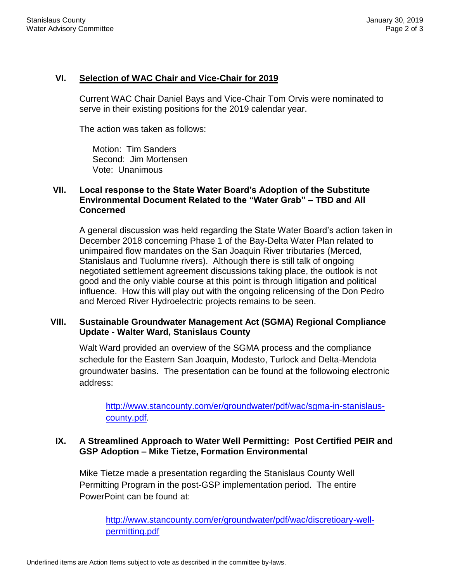### **VI. Selection of WAC Chair and Vice-Chair for 2019**

Current WAC Chair Daniel Bays and Vice-Chair Tom Orvis were nominated to serve in their existing positions for the 2019 calendar year.

The action was taken as follows:

Motion: Tim Sanders Second: Jim Mortensen Vote: Unanimous

# **VII. Local response to the State Water Board's Adoption of the Substitute Environmental Document Related to the "Water Grab" – TBD and All Concerned**

A general discussion was held regarding the State Water Board's action taken in December 2018 concerning Phase 1 of the Bay-Delta Water Plan related to unimpaired flow mandates on the San Joaquin River tributaries (Merced, Stanislaus and Tuolumne rivers). Although there is still talk of ongoing negotiated settlement agreement discussions taking place, the outlook is not good and the only viable course at this point is through litigation and political influence. How this will play out with the ongoing relicensing of the Don Pedro and Merced River Hydroelectric projects remains to be seen.

# **VIII. Sustainable Groundwater Management Act (SGMA) Regional Compliance Update - Walter Ward, Stanislaus County**

Walt Ward provided an overview of the SGMA process and the compliance schedule for the Eastern San Joaquin, Modesto, Turlock and Delta-Mendota groundwater basins. The presentation can be found at the followoing electronic address:

[http://www.stancounty.com/er/groundwater/pdf/wac/sgma-in-stanislaus](http://www.stancounty.com/er/groundwater/pdf/wac/sgma-in-stanislaus-county.pdf)[county.pdf.](http://www.stancounty.com/er/groundwater/pdf/wac/sgma-in-stanislaus-county.pdf)

# **IX. A Streamlined Approach to Water Well Permitting: Post Certified PEIR and GSP Adoption – Mike Tietze, Formation Environmental**

Mike Tietze made a presentation regarding the Stanislaus County Well Permitting Program in the post-GSP implementation period. The entire PowerPoint can be found at:

[http://www.stancounty.com/er/groundwater/pdf/wac/discretioary-well](http://www.stancounty.com/er/groundwater/pdf/wac/discretioary-well-permitting.pdf)[permitting.pdf](http://www.stancounty.com/er/groundwater/pdf/wac/discretioary-well-permitting.pdf)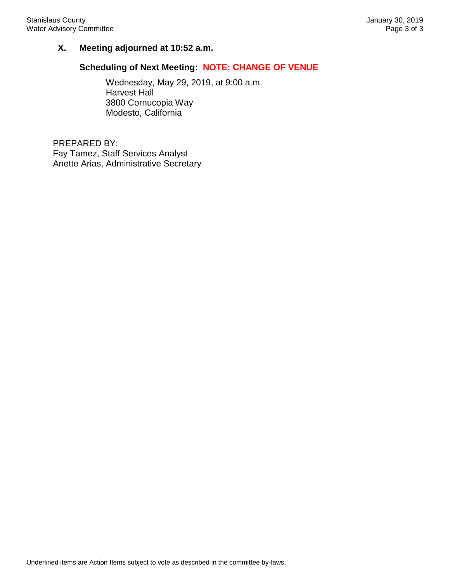# **X. Meeting adjourned at 10:52 a.m.**

#### **Scheduling of Next Meeting: NOTE: CHANGE OF VENUE**

Wednesday, May 29, 2019, at 9:00 a.m. Harvest Hall 3800 Cornucopia Way Modesto, California

PREPARED BY: Fay Tamez, Staff Services Analyst Anette Arias, Administrative Secretary